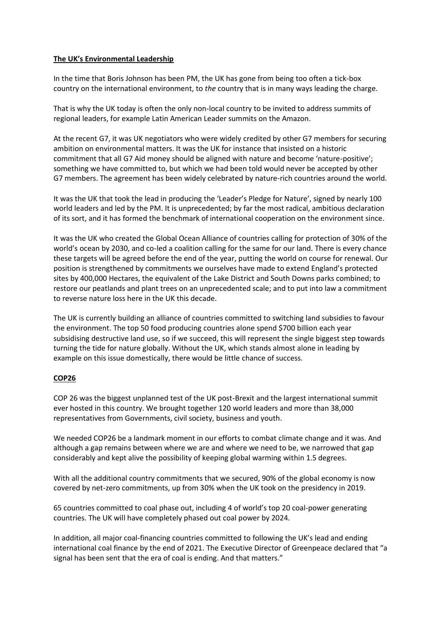## **The UK's Environmental Leadership**

In the time that Boris Johnson has been PM, the UK has gone from being too often a tick-box country on the international environment, to *the* country that is in many ways leading the charge.

That is why the UK today is often the only non-local country to be invited to address summits of regional leaders, for example Latin American Leader summits on the Amazon.

At the recent G7, it was UK negotiators who were widely credited by other G7 members for securing ambition on environmental matters. It was the UK for instance that insisted on a historic commitment that all G7 Aid money should be aligned with nature and become 'nature-positive'; something we have committed to, but which we had been told would never be accepted by other G7 members. The agreement has been widely celebrated by nature-rich countries around the world.

It was the UK that took the lead in producing the 'Leader's Pledge for Nature', signed by nearly 100 world leaders and led by the PM. It is unprecedented; by far the most radical, ambitious declaration of its sort, and it has formed the benchmark of international cooperation on the environment since.

It was the UK who created the Global Ocean Alliance of countries calling for protection of 30% of the world's ocean by 2030, and co-led a coalition calling for the same for our land. There is every chance these targets will be agreed before the end of the year, putting the world on course for renewal. Our position is strengthened by commitments we ourselves have made to extend England's protected sites by 400,000 Hectares, the equivalent of the Lake District and South Downs parks combined; to restore our peatlands and plant trees on an unprecedented scale; and to put into law a commitment to reverse nature loss here in the UK this decade.

The UK is currently building an alliance of countries committed to switching land subsidies to favour the environment. The top 50 food producing countries alone spend \$700 billion each year subsidising destructive land use, so if we succeed, this will represent the single biggest step towards turning the tide for nature globally. Without the UK, which stands almost alone in leading by example on this issue domestically, there would be little chance of success.

# **COP26**

COP 26 was the biggest unplanned test of the UK post-Brexit and the largest international summit ever hosted in this country. We brought together 120 world leaders and more than 38,000 representatives from Governments, civil society, business and youth.

We needed COP26 be a landmark moment in our efforts to combat climate change and it was. And although a gap remains between where we are and where we need to be, we narrowed that gap considerably and kept alive the possibility of keeping global warming within 1.5 degrees.

With all the additional country commitments that we secured, 90% of the global economy is now covered by net-zero commitments, up from 30% when the UK took on the presidency in 2019.

65 countries committed to coal phase out, including 4 of world's top 20 coal-power generating countries. The UK will have completely phased out coal power by 2024.

In addition, all major coal-financing countries committed to following the UK's lead and ending international coal finance by the end of 2021. The Executive Director of Greenpeace declared that "a signal has been sent that the era of coal is ending. And that matters."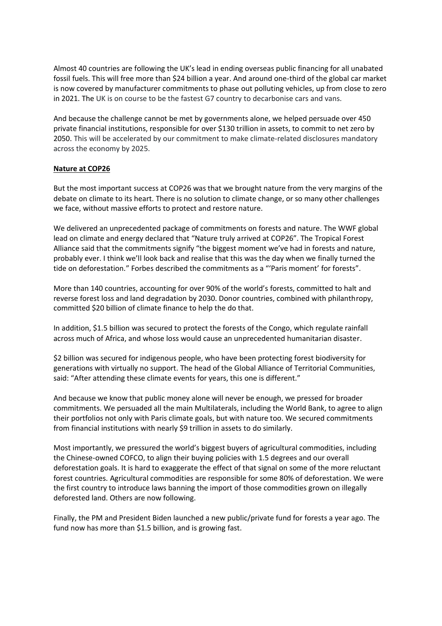Almost 40 countries are following the UK's lead in ending overseas public financing for all unabated fossil fuels. This will free more than \$24 billion a year. And around one-third of the global car market is now covered by manufacturer commitments to phase out polluting vehicles, up from close to zero in 2021. The UK is on course to be the fastest G7 country to decarbonise cars and vans.

And because the challenge cannot be met by governments alone, we helped persuade over 450 private financial institutions, responsible for over \$130 trillion in assets, to commit to net zero by 2050. This will be accelerated by our commitment to make climate-related disclosures mandatory across the economy by 2025.

#### **Nature at COP26**

But the most important success at COP26 was that we brought nature from the very margins of the debate on climate to its heart. There is no solution to climate change, or so many other challenges we face, without massive efforts to protect and restore nature.

We delivered an unprecedented package of commitments on forests and nature. The WWF global lead on climate and energy declared that "Nature truly arrived at COP26". The Tropical Forest Alliance said that the commitments signify "the biggest moment we've had in forests and nature, probably ever. I think we'll look back and realise that this was the day when we finally turned the tide on deforestation." Forbes described the commitments as a "'Paris moment' for forests".

More than 140 countries, accounting for over 90% of the world's forests, committed to halt and reverse forest loss and land degradation by 2030. Donor countries, combined with philanthropy, committed \$20 billion of climate finance to help the do that.

In addition, \$1.5 billion was secured to protect the forests of the Congo, which regulate rainfall across much of Africa, and whose loss would cause an unprecedented humanitarian disaster.

\$2 billion was secured for indigenous people, who have been protecting forest biodiversity for generations with virtually no support. The head of the Global Alliance of Territorial Communities, said: "After attending these climate events for years, this one is different."

And because we know that public money alone will never be enough, we pressed for broader commitments. We persuaded all the main Multilaterals, including the World Bank, to agree to align their portfolios not only with Paris climate goals, but with nature too. We secured commitments from financial institutions with nearly \$9 trillion in assets to do similarly.

Most importantly, we pressured the world's biggest buyers of agricultural commodities, including the Chinese-owned COFCO, to align their buying policies with 1.5 degrees and our overall deforestation goals. It is hard to exaggerate the effect of that signal on some of the more reluctant forest countries. Agricultural commodities are responsible for some 80% of deforestation. We were the first country to introduce laws banning the import of those commodities grown on illegally deforested land. Others are now following.

Finally, the PM and President Biden launched a new public/private fund for forests a year ago. The fund now has more than \$1.5 billion, and is growing fast.